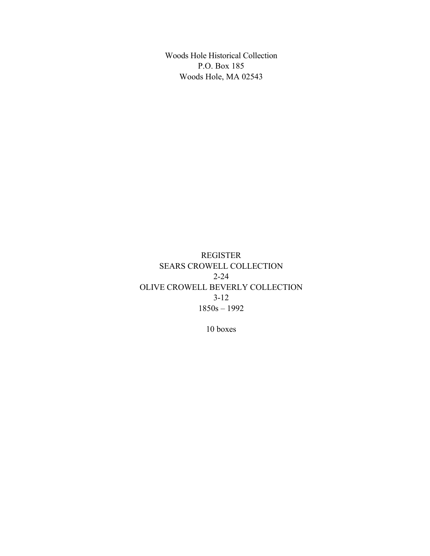Woods Hole Historical Collection P.O. Box 185 Woods Hole, MA 02543

REGISTER SEARS CROWELL COLLECTION 2-24 OLIVE CROWELL BEVERLY COLLECTION 3-12 1850s – 1992

10 boxes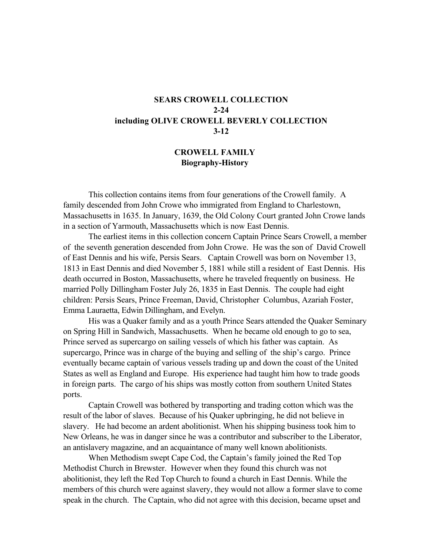# **SEARS CROWELL COLLECTION 2-24 including OLIVE CROWELL BEVERLY COLLECTION 3-12**

### **CROWELL FAMILY Biography-History**

This collection contains items from four generations of the Crowell family. A family descended from John Crowe who immigrated from England to Charlestown, Massachusetts in 1635. In January, 1639, the Old Colony Court granted John Crowe lands in a section of Yarmouth, Massachusetts which is now East Dennis.

The earliest items in this collection concern Captain Prince Sears Crowell, a member of the seventh generation descended from John Crowe. He was the son of David Crowell of East Dennis and his wife, Persis Sears. Captain Crowell was born on November 13, 1813 in East Dennis and died November 5, 1881 while still a resident of East Dennis. His death occurred in Boston, Massachusetts, where he traveled frequently on business. He married Polly Dillingham Foster July 26, 1835 in East Dennis. The couple had eight children: Persis Sears, Prince Freeman, David, Christopher Columbus, Azariah Foster, Emma Lauraetta, Edwin Dillingham, and Evelyn.

His was a Quaker family and as a youth Prince Sears attended the Quaker Seminary on Spring Hill in Sandwich, Massachusetts. When he became old enough to go to sea, Prince served as supercargo on sailing vessels of which his father was captain. As supercargo, Prince was in charge of the buying and selling of the ship's cargo. Prince eventually became captain of various vessels trading up and down the coast of the United States as well as England and Europe. His experience had taught him how to trade goods in foreign parts. The cargo of his ships was mostly cotton from southern United States ports.

Captain Crowell was bothered by transporting and trading cotton which was the result of the labor of slaves. Because of his Quaker upbringing, he did not believe in slavery. He had become an ardent abolitionist. When his shipping business took him to New Orleans, he was in danger since he was a contributor and subscriber to the Liberator, an antislavery magazine, and an acquaintance of many well known abolitionists.

When Methodism swept Cape Cod, the Captain's family joined the Red Top Methodist Church in Brewster. However when they found this church was not abolitionist, they left the Red Top Church to found a church in East Dennis. While the members of this church were against slavery, they would not allow a former slave to come speak in the church. The Captain, who did not agree with this decision, became upset and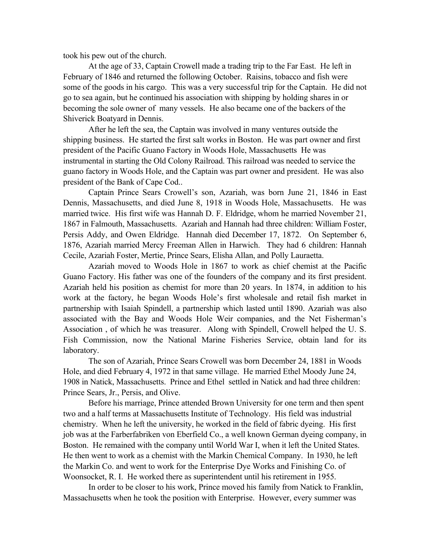took his pew out of the church.

At the age of 33, Captain Crowell made a trading trip to the Far East. He left in February of 1846 and returned the following October. Raisins, tobacco and fish were some of the goods in his cargo. This was a very successful trip for the Captain. He did not go to sea again, but he continued his association with shipping by holding shares in or becoming the sole owner of many vessels. He also became one of the backers of the Shiverick Boatyard in Dennis.

After he left the sea, the Captain was involved in many ventures outside the shipping business. He started the first salt works in Boston. He was part owner and first president of the Pacific Guano Factory in Woods Hole, Massachusetts He was instrumental in starting the Old Colony Railroad. This railroad was needed to service the guano factory in Woods Hole, and the Captain was part owner and president. He was also president of the Bank of Cape Cod..

Captain Prince Sears Crowell's son, Azariah, was born June 21, 1846 in East Dennis, Massachusetts, and died June 8, 1918 in Woods Hole, Massachusetts. He was married twice. His first wife was Hannah D. F. Eldridge, whom he married November 21, 1867 in Falmouth, Massachusetts. Azariah and Hannah had three children: William Foster, Persis Addy, and Owen Eldridge. Hannah died December 17, 1872. On September 6, 1876, Azariah married Mercy Freeman Allen in Harwich. They had 6 children: Hannah Cecile, Azariah Foster, Mertie, Prince Sears, Elisha Allan, and Polly Lauraetta.

Azariah moved to Woods Hole in 1867 to work as chief chemist at the Pacific Guano Factory. His father was one of the founders of the company and its first president. Azariah held his position as chemist for more than 20 years. In 1874, in addition to his work at the factory, he began Woods Hole's first wholesale and retail fish market in partnership with Isaiah Spindell, a partnership which lasted until 1890. Azariah was also associated with the Bay and Woods Hole Weir companies, and the Net Fisherman's Association , of which he was treasurer. Along with Spindell, Crowell helped the U. S. Fish Commission, now the National Marine Fisheries Service, obtain land for its laboratory.

The son of Azariah, Prince Sears Crowell was born December 24, 1881 in Woods Hole, and died February 4, 1972 in that same village. He married Ethel Moody June 24, 1908 in Natick, Massachusetts. Prince and Ethel settled in Natick and had three children: Prince Sears, Jr., Persis, and Olive.

Before his marriage, Prince attended Brown University for one term and then spent two and a half terms at Massachusetts Institute of Technology. His field was industrial chemistry. When he left the university, he worked in the field of fabric dyeing. His first job was at the Farberfabriken von Eberfield Co., a well known German dyeing company, in Boston. He remained with the company until World War I, when it left the United States. He then went to work as a chemist with the Markin Chemical Company. In 1930, he left the Markin Co. and went to work for the Enterprise Dye Works and Finishing Co. of Woonsocket, R. I. He worked there as superintendent until his retirement in 1955.

In order to be closer to his work, Prince moved his family from Natick to Franklin, Massachusetts when he took the position with Enterprise. However, every summer was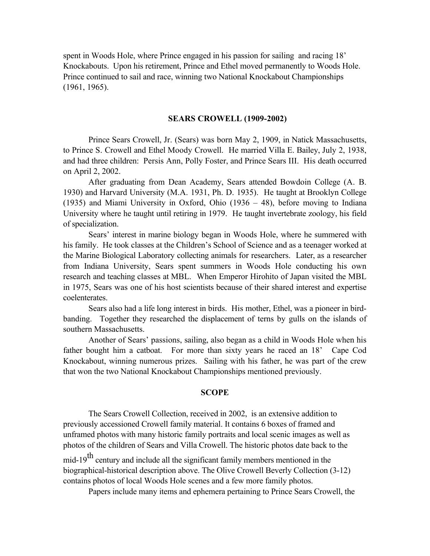spent in Woods Hole, where Prince engaged in his passion for sailing and racing 18' Knockabouts. Upon his retirement, Prince and Ethel moved permanently to Woods Hole. Prince continued to sail and race, winning two National Knockabout Championships (1961, 1965).

#### **SEARS CROWELL (1909-2002)**

Prince Sears Crowell, Jr. (Sears) was born May 2, 1909, in Natick Massachusetts, to Prince S. Crowell and Ethel Moody Crowell. He married Villa E. Bailey, July 2, 1938, and had three children: Persis Ann, Polly Foster, and Prince Sears III. His death occurred on April 2, 2002.

After graduating from Dean Academy, Sears attended Bowdoin College (A. B. 1930) and Harvard University (M.A. 1931, Ph. D. 1935). He taught at Brooklyn College (1935) and Miami University in Oxford, Ohio (1936 – 48), before moving to Indiana University where he taught until retiring in 1979. He taught invertebrate zoology, his field of specialization.

Sears' interest in marine biology began in Woods Hole, where he summered with his family. He took classes at the Children's School of Science and as a teenager worked at the Marine Biological Laboratory collecting animals for researchers. Later, as a researcher from Indiana University, Sears spent summers in Woods Hole conducting his own research and teaching classes at MBL. When Emperor Hirohito of Japan visited the MBL in 1975, Sears was one of his host scientists because of their shared interest and expertise coelenterates.

Sears also had a life long interest in birds. His mother, Ethel, was a pioneer in birdbanding. Together they researched the displacement of terns by gulls on the islands of southern Massachusetts.

Another of Sears' passions, sailing, also began as a child in Woods Hole when his father bought him a catboat. For more than sixty years he raced an 18' Cape Cod Knockabout, winning numerous prizes. Sailing with his father, he was part of the crew that won the two National Knockabout Championships mentioned previously.

#### **SCOPE**

The Sears Crowell Collection, received in 2002, is an extensive addition to previously accessioned Crowell family material. It contains 6 boxes of framed and unframed photos with many historic family portraits and local scenic images as well as photos of the children of Sears and Villa Crowell. The historic photos date back to the mid-19<sup>th</sup> century and include all the significant family members mentioned in the biographical-historical description above. The Olive Crowell Beverly Collection (3-12) contains photos of local Woods Hole scenes and a few more family photos.

Papers include many items and ephemera pertaining to Prince Sears Crowell, the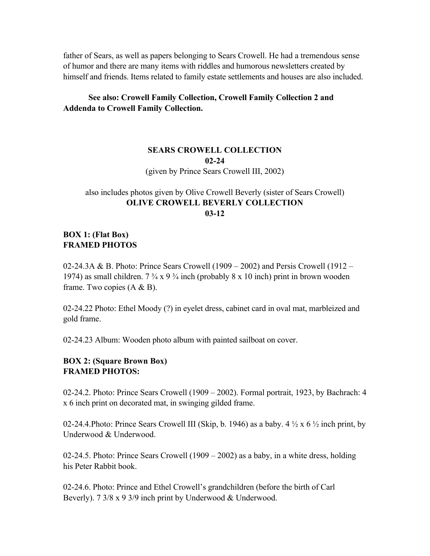father of Sears, as well as papers belonging to Sears Crowell. He had a tremendous sense of humor and there are many items with riddles and humorous newsletters created by himself and friends. Items related to family estate settlements and houses are also included.

### **See also: Crowell Family Collection, Crowell Family Collection 2 and Addenda to Crowell Family Collection.**

### **SEARS CROWELL COLLECTION 02-24** (given by Prince Sears Crowell III, 2002)

# also includes photos given by Olive Crowell Beverly (sister of Sears Crowell) **OLIVE CROWELL BEVERLY COLLECTION 03-12**

# **BOX 1: (Flat Box) FRAMED PHOTOS**

02-24.3A & B. Photo: Prince Sears Crowell (1909 – 2002) and Persis Crowell (1912 – 1974) as small children.  $7\frac{3}{4} \times 9\frac{3}{4}$  inch (probably  $8 \times 10$  inch) print in brown wooden frame. Two copies  $(A & B)$ .

02-24.22 Photo: Ethel Moody (?) in eyelet dress, cabinet card in oval mat, marbleized and gold frame.

02-24.23 Album: Wooden photo album with painted sailboat on cover.

### **BOX 2: (Square Brown Box) FRAMED PHOTOS:**

02-24.2. Photo: Prince Sears Crowell (1909 – 2002). Formal portrait, 1923, by Bachrach: 4 x 6 inch print on decorated mat, in swinging gilded frame.

02-24.4.Photo: Prince Sears Crowell III (Skip, b. 1946) as a baby. 4  $\frac{1}{2}$  x 6  $\frac{1}{2}$  inch print, by Underwood & Underwood.

02-24.5. Photo: Prince Sears Crowell (1909 – 2002) as a baby, in a white dress, holding his Peter Rabbit book.

02-24.6. Photo: Prince and Ethel Crowell's grandchildren (before the birth of Carl Beverly). 7 3/8 x 9 3/9 inch print by Underwood & Underwood.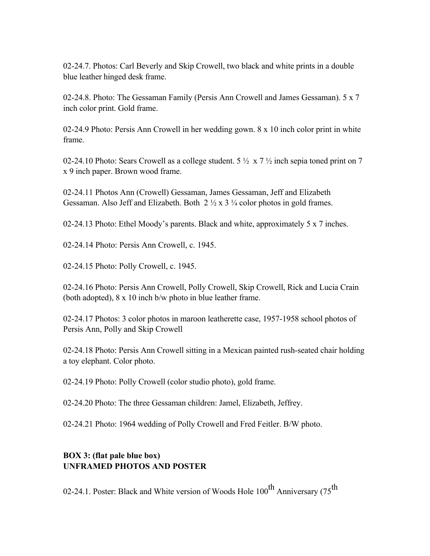02-24.7. Photos: Carl Beverly and Skip Crowell, two black and white prints in a double blue leather hinged desk frame.

02-24.8. Photo: The Gessaman Family (Persis Ann Crowell and James Gessaman). 5 x 7 inch color print. Gold frame.

02-24.9 Photo: Persis Ann Crowell in her wedding gown. 8 x 10 inch color print in white frame.

02-24.10 Photo: Sears Crowell as a college student.  $5\frac{1}{2} \times 7\frac{1}{2}$  inch sepia toned print on 7 x 9 inch paper. Brown wood frame.

02-24.11 Photos Ann (Crowell) Gessaman, James Gessaman, Jeff and Elizabeth Gessaman. Also Jeff and Elizabeth. Both  $2 \frac{1}{2} \times 3 \frac{1}{4}$  color photos in gold frames.

02-24.13 Photo: Ethel Moody's parents. Black and white, approximately 5 x 7 inches.

02-24.14 Photo: Persis Ann Crowell, c. 1945.

02-24.15 Photo: Polly Crowell, c. 1945.

02-24.16 Photo: Persis Ann Crowell, Polly Crowell, Skip Crowell, Rick and Lucia Crain (both adopted), 8 x 10 inch b/w photo in blue leather frame.

02-24.17 Photos: 3 color photos in maroon leatherette case, 1957-1958 school photos of Persis Ann, Polly and Skip Crowell

02-24.18 Photo: Persis Ann Crowell sitting in a Mexican painted rush-seated chair holding a toy elephant. Color photo.

02-24.19 Photo: Polly Crowell (color studio photo), gold frame.

02-24.20 Photo: The three Gessaman children: Jamel, Elizabeth, Jeffrey.

02-24.21 Photo: 1964 wedding of Polly Crowell and Fred Feitler. B/W photo.

# **BOX 3: (flat pale blue box) UNFRAMED PHOTOS AND POSTER**

02-24.1. Poster: Black and White version of Woods Hole  $100^{th}$  Anniversary (75<sup>th</sup>)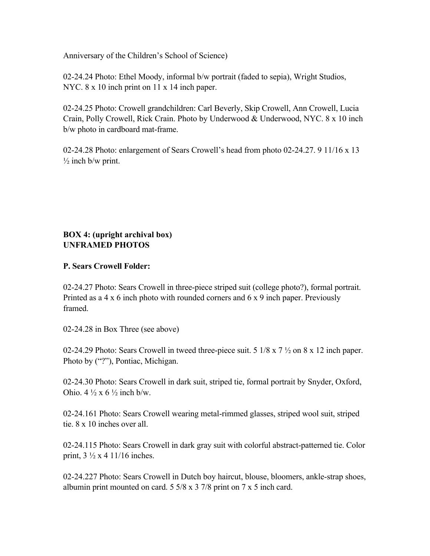Anniversary of the Children's School of Science)

02-24.24 Photo: Ethel Moody, informal b/w portrait (faded to sepia), Wright Studios, NYC. 8 x 10 inch print on 11 x 14 inch paper.

02-24.25 Photo: Crowell grandchildren: Carl Beverly, Skip Crowell, Ann Crowell, Lucia Crain, Polly Crowell, Rick Crain. Photo by Underwood & Underwood, NYC. 8 x 10 inch b/w photo in cardboard mat-frame.

02-24.28 Photo: enlargement of Sears Crowell's head from photo 02-24.27. 9 11/16 x 13  $\frac{1}{2}$  inch b/w print.

# **BOX 4: (upright archival box) UNFRAMED PHOTOS**

### **P. Sears Crowell Folder:**

02-24.27 Photo: Sears Crowell in three-piece striped suit (college photo?), formal portrait. Printed as a 4 x 6 inch photo with rounded corners and 6 x 9 inch paper. Previously framed.

02-24.28 in Box Three (see above)

02-24.29 Photo: Sears Crowell in tweed three-piece suit. 5 1/8 x 7 ½ on 8 x 12 inch paper. Photo by ("?"), Pontiac, Michigan.

02-24.30 Photo: Sears Crowell in dark suit, striped tie, formal portrait by Snyder, Oxford, Ohio.  $4\frac{1}{2}$  x 6  $\frac{1}{2}$  inch b/w.

02-24.161 Photo: Sears Crowell wearing metal-rimmed glasses, striped wool suit, striped tie. 8 x 10 inches over all.

02-24.115 Photo: Sears Crowell in dark gray suit with colorful abstract-patterned tie. Color print,  $3 \frac{1}{2} \times 4 \frac{11}{16}$  inches.

02-24.227 Photo: Sears Crowell in Dutch boy haircut, blouse, bloomers, ankle-strap shoes, albumin print mounted on card. 5 5/8 x 3 7/8 print on 7 x 5 inch card.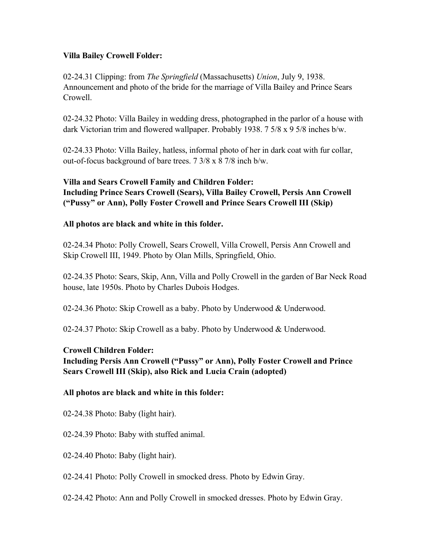### **Villa Bailey Crowell Folder:**

02-24.31 Clipping: from *The Springfield* (Massachusetts) *Union*, July 9, 1938. Announcement and photo of the bride for the marriage of Villa Bailey and Prince Sears Crowell.

02-24.32 Photo: Villa Bailey in wedding dress, photographed in the parlor of a house with dark Victorian trim and flowered wallpaper. Probably 1938. 7 5/8 x 9 5/8 inches b/w.

02-24.33 Photo: Villa Bailey, hatless, informal photo of her in dark coat with fur collar, out-of-focus background of bare trees. 7 3/8 x 8 7/8 inch b/w.

# **Villa and Sears Crowell Family and Children Folder: Including Prince Sears Crowell (Sears), Villa Bailey Crowell, Persis Ann Crowell ("Pussy" or Ann), Polly Foster Crowell and Prince Sears Crowell III (Skip)**

# **All photos are black and white in this folder.**

02-24.34 Photo: Polly Crowell, Sears Crowell, Villa Crowell, Persis Ann Crowell and Skip Crowell III, 1949. Photo by Olan Mills, Springfield, Ohio.

02-24.35 Photo: Sears, Skip, Ann, Villa and Polly Crowell in the garden of Bar Neck Road house, late 1950s. Photo by Charles Dubois Hodges.

02-24.36 Photo: Skip Crowell as a baby. Photo by Underwood & Underwood.

02-24.37 Photo: Skip Crowell as a baby. Photo by Underwood & Underwood.

### **Crowell Children Folder:**

# **Including Persis Ann Crowell ("Pussy" or Ann), Polly Foster Crowell and Prince Sears Crowell III (Skip), also Rick and Lucia Crain (adopted)**

### **All photos are black and white in this folder:**

02-24.38 Photo: Baby (light hair).

02-24.39 Photo: Baby with stuffed animal.

02-24.40 Photo: Baby (light hair).

02-24.41 Photo: Polly Crowell in smocked dress. Photo by Edwin Gray.

02-24.42 Photo: Ann and Polly Crowell in smocked dresses. Photo by Edwin Gray.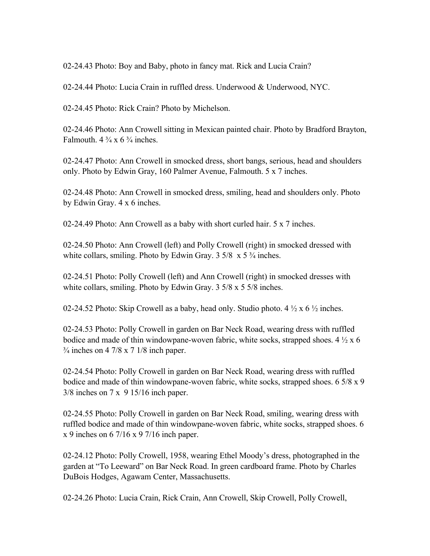02-24.43 Photo: Boy and Baby, photo in fancy mat. Rick and Lucia Crain?

02-24.44 Photo: Lucia Crain in ruffled dress. Underwood & Underwood, NYC.

02-24.45 Photo: Rick Crain? Photo by Michelson.

02-24.46 Photo: Ann Crowell sitting in Mexican painted chair. Photo by Bradford Brayton, Falmouth.  $4\frac{3}{4} \times 6\frac{3}{4}$  inches.

02-24.47 Photo: Ann Crowell in smocked dress, short bangs, serious, head and shoulders only. Photo by Edwin Gray, 160 Palmer Avenue, Falmouth. 5 x 7 inches.

02-24.48 Photo: Ann Crowell in smocked dress, smiling, head and shoulders only. Photo by Edwin Gray. 4 x 6 inches.

02-24.49 Photo: Ann Crowell as a baby with short curled hair. 5 x 7 inches.

02-24.50 Photo: Ann Crowell (left) and Polly Crowell (right) in smocked dressed with white collars, smiling. Photo by Edwin Gray.  $3\frac{5}{8} \times 5\frac{3}{4}$  inches.

02-24.51 Photo: Polly Crowell (left) and Ann Crowell (right) in smocked dresses with white collars, smiling. Photo by Edwin Gray. 3 5/8 x 5 5/8 inches.

02-24.52 Photo: Skip Crowell as a baby, head only. Studio photo. 4  $\frac{1}{2}$  x 6  $\frac{1}{2}$  inches.

02-24.53 Photo: Polly Crowell in garden on Bar Neck Road, wearing dress with ruffled bodice and made of thin windowpane-woven fabric, white socks, strapped shoes.  $4\frac{1}{2}x$  6  $\frac{3}{4}$  inches on 4 7/8 x 7 1/8 inch paper.

02-24.54 Photo: Polly Crowell in garden on Bar Neck Road, wearing dress with ruffled bodice and made of thin windowpane-woven fabric, white socks, strapped shoes. 6 5/8 x 9 3/8 inches on 7 x 9 15/16 inch paper.

02-24.55 Photo: Polly Crowell in garden on Bar Neck Road, smiling, wearing dress with ruffled bodice and made of thin windowpane-woven fabric, white socks, strapped shoes. 6 x 9 inches on 6 7/16 x 9 7/16 inch paper.

02-24.12 Photo: Polly Crowell, 1958, wearing Ethel Moody's dress, photographed in the garden at "To Leeward" on Bar Neck Road. In green cardboard frame. Photo by Charles DuBois Hodges, Agawam Center, Massachusetts.

02-24.26 Photo: Lucia Crain, Rick Crain, Ann Crowell, Skip Crowell, Polly Crowell,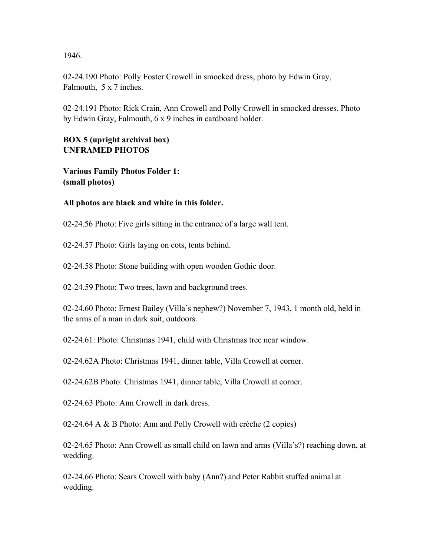1946.

02-24.190 Photo: Polly Foster Crowell in smocked dress, photo by Edwin Gray, Falmouth, 5 x 7 inches.

02-24.191 Photo: Rick Crain, Ann Crowell and Polly Crowell in smocked dresses. Photo by Edwin Gray, Falmouth, 6 x 9 inches in cardboard holder.

### **BOX 5 (upright archival box) UNFRAMED PHOTOS**

**Various Family Photos Folder 1: (small photos)**

# **All photos are black and white in this folder.**

02-24.56 Photo: Five girls sitting in the entrance of a large wall tent.

02-24.57 Photo: Girls laying on cots, tents behind.

02-24.58 Photo: Stone building with open wooden Gothic door.

02-24.59 Photo: Two trees, lawn and background trees.

02-24.60 Photo: Ernest Bailey (Villa's nephew?) November 7, 1943, 1 month old, held in the arms of a man in dark suit, outdoors.

02-24.61: Photo: Christmas 1941, child with Christmas tree near window.

02-24.62A Photo: Christmas 1941, dinner table, Villa Crowell at corner.

02-24.62B Photo: Christmas 1941, dinner table, Villa Crowell at corner.

02-24.63 Photo: Ann Crowell in dark dress.

02-24.64 A & B Photo: Ann and Polly Crowell with crèche (2 copies)

02-24.65 Photo: Ann Crowell as small child on lawn and arms (Villa's?) reaching down, at wedding.

02-24.66 Photo: Sears Crowell with baby (Ann?) and Peter Rabbit stuffed animal at wedding.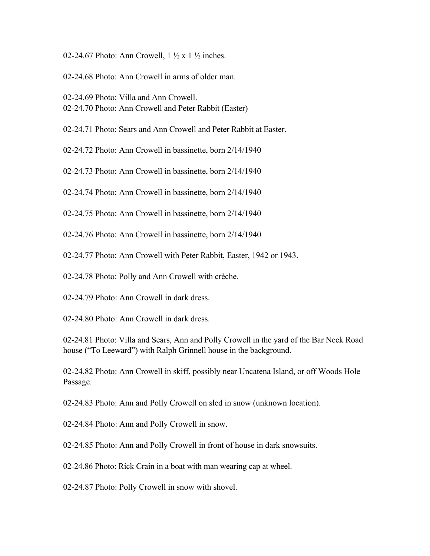- 02-24.67 Photo: Ann Crowell,  $1 \frac{1}{2}$  x  $1 \frac{1}{2}$  inches.
- 02-24.68 Photo: Ann Crowell in arms of older man.
- 02-24.69 Photo: Villa and Ann Crowell. 02-24.70 Photo: Ann Crowell and Peter Rabbit (Easter)
- 02-24.71 Photo: Sears and Ann Crowell and Peter Rabbit at Easter.
- 02-24.72 Photo: Ann Crowell in bassinette, born 2/14/1940
- 02-24.73 Photo: Ann Crowell in bassinette, born 2/14/1940
- 02-24.74 Photo: Ann Crowell in bassinette, born 2/14/1940
- 02-24.75 Photo: Ann Crowell in bassinette, born 2/14/1940
- 02-24.76 Photo: Ann Crowell in bassinette, born 2/14/1940
- 02-24.77 Photo: Ann Crowell with Peter Rabbit, Easter, 1942 or 1943.
- 02-24.78 Photo: Polly and Ann Crowell with crèche.
- 02-24.79 Photo: Ann Crowell in dark dress.
- 02-24.80 Photo: Ann Crowell in dark dress.

02-24.81 Photo: Villa and Sears, Ann and Polly Crowell in the yard of the Bar Neck Road house ("To Leeward") with Ralph Grinnell house in the background.

02-24.82 Photo: Ann Crowell in skiff, possibly near Uncatena Island, or off Woods Hole Passage.

02-24.83 Photo: Ann and Polly Crowell on sled in snow (unknown location).

02-24.84 Photo: Ann and Polly Crowell in snow.

02-24.85 Photo: Ann and Polly Crowell in front of house in dark snowsuits.

02-24.86 Photo: Rick Crain in a boat with man wearing cap at wheel.

02-24.87 Photo: Polly Crowell in snow with shovel.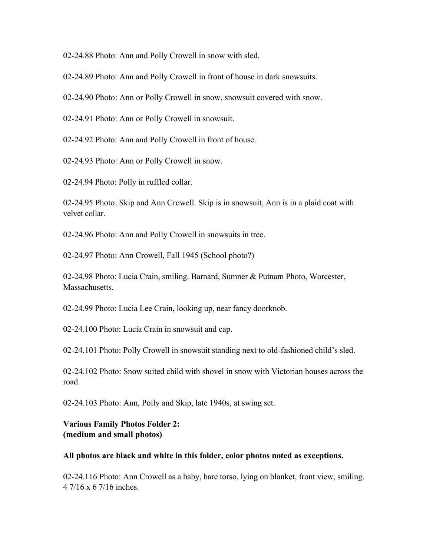02-24.88 Photo: Ann and Polly Crowell in snow with sled.

02-24.89 Photo: Ann and Polly Crowell in front of house in dark snowsuits.

02-24.90 Photo: Ann or Polly Crowell in snow, snowsuit covered with snow.

02-24.91 Photo: Ann or Polly Crowell in snowsuit.

02-24.92 Photo: Ann and Polly Crowell in front of house.

02-24.93 Photo: Ann or Polly Crowell in snow.

02-24.94 Photo: Polly in ruffled collar.

02-24.95 Photo: Skip and Ann Crowell. Skip is in snowsuit, Ann is in a plaid coat with velvet collar.

02-24.96 Photo: Ann and Polly Crowell in snowsuits in tree.

02-24.97 Photo: Ann Crowell, Fall 1945 (School photo?)

02-24.98 Photo: Lucia Crain, smiling. Barnard, Sumner & Putnam Photo, Worcester, Massachusetts.

02-24.99 Photo: Lucia Lee Crain, looking up, near fancy doorknob.

02-24.100 Photo: Lucia Crain in snowsuit and cap.

02-24.101 Photo: Polly Crowell in snowsuit standing next to old-fashioned child's sled.

02-24.102 Photo: Snow suited child with shovel in snow with Victorian houses across the road.

02-24.103 Photo: Ann, Polly and Skip, late 1940s, at swing set.

**Various Family Photos Folder 2: (medium and small photos)**

#### **All photos are black and white in this folder, color photos noted as exceptions.**

02-24.116 Photo: Ann Crowell as a baby, bare torso, lying on blanket, front view, smiling. 4 7/16 x 6 7/16 inches.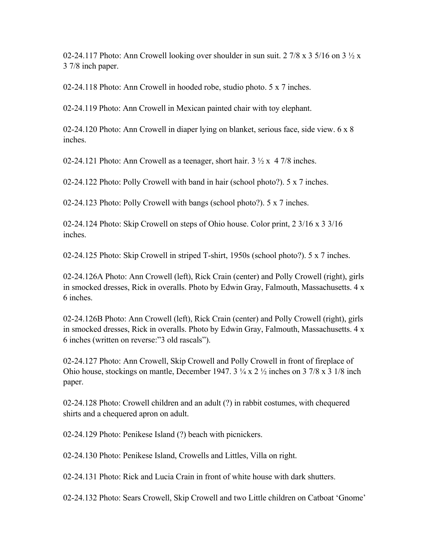02-24.117 Photo: Ann Crowell looking over shoulder in sun suit. 2 7/8 x 3 5/16 on 3  $\frac{1}{2}$  x 3 7/8 inch paper.

02-24.118 Photo: Ann Crowell in hooded robe, studio photo. 5 x 7 inches.

02-24.119 Photo: Ann Crowell in Mexican painted chair with toy elephant.

02-24.120 Photo: Ann Crowell in diaper lying on blanket, serious face, side view. 6 x 8 inches.

02-24.121 Photo: Ann Crowell as a teenager, short hair.  $3 \frac{1}{2} \times 4 \frac{7}{8}$  inches.

02-24.122 Photo: Polly Crowell with band in hair (school photo?). 5 x 7 inches.

02-24.123 Photo: Polly Crowell with bangs (school photo?). 5 x 7 inches.

02-24.124 Photo: Skip Crowell on steps of Ohio house. Color print, 2 3/16 x 3 3/16 inches.

02-24.125 Photo: Skip Crowell in striped T-shirt, 1950s (school photo?). 5 x 7 inches.

02-24.126A Photo: Ann Crowell (left), Rick Crain (center) and Polly Crowell (right), girls in smocked dresses, Rick in overalls. Photo by Edwin Gray, Falmouth, Massachusetts. 4 x 6 inches.

02-24.126B Photo: Ann Crowell (left), Rick Crain (center) and Polly Crowell (right), girls in smocked dresses, Rick in overalls. Photo by Edwin Gray, Falmouth, Massachusetts. 4 x 6 inches (written on reverse:"3 old rascals").

02-24.127 Photo: Ann Crowell, Skip Crowell and Polly Crowell in front of fireplace of Ohio house, stockings on mantle, December 1947. 3 ¼ x 2 ½ inches on 3 7/8 x 3 1/8 inch paper.

02-24.128 Photo: Crowell children and an adult (?) in rabbit costumes, with chequered shirts and a chequered apron on adult.

02-24.129 Photo: Penikese Island (?) beach with picnickers.

02-24.130 Photo: Penikese Island, Crowells and Littles, Villa on right.

02-24.131 Photo: Rick and Lucia Crain in front of white house with dark shutters.

02-24.132 Photo: Sears Crowell, Skip Crowell and two Little children on Catboat 'Gnome'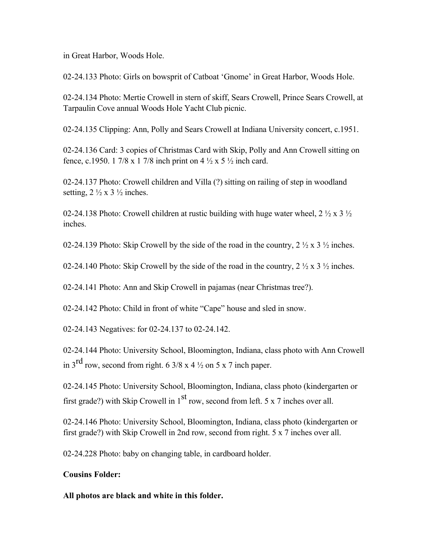in Great Harbor, Woods Hole.

02-24.133 Photo: Girls on bowsprit of Catboat 'Gnome' in Great Harbor, Woods Hole.

02-24.134 Photo: Mertie Crowell in stern of skiff, Sears Crowell, Prince Sears Crowell, at Tarpaulin Cove annual Woods Hole Yacht Club picnic.

02-24.135 Clipping: Ann, Polly and Sears Crowell at Indiana University concert, c.1951.

02-24.136 Card: 3 copies of Christmas Card with Skip, Polly and Ann Crowell sitting on fence, c.1950. 1 7/8 x 1 7/8 inch print on 4  $\frac{1}{2}$  x 5  $\frac{1}{2}$  inch card.

02-24.137 Photo: Crowell children and Villa (?) sitting on railing of step in woodland setting,  $2 \frac{1}{2} \times 3 \frac{1}{2}$  inches.

02-24.138 Photo: Crowell children at rustic building with huge water wheel,  $2 \frac{1}{2} \times 3 \frac{1}{2}$ inches.

02-24.139 Photo: Skip Crowell by the side of the road in the country,  $2 \frac{1}{2} \times 3 \frac{1}{2}$  inches.

02-24.140 Photo: Skip Crowell by the side of the road in the country,  $2 \frac{1}{2} \times 3 \frac{1}{2}$  inches.

02-24.141 Photo: Ann and Skip Crowell in pajamas (near Christmas tree?).

02-24.142 Photo: Child in front of white "Cape" house and sled in snow.

02-24.143 Negatives: for 02-24.137 to 02-24.142.

02-24.144 Photo: University School, Bloomington, Indiana, class photo with Ann Crowell in  $3^{\text{rd}}$  row, second from right. 6 3/8 x 4  $\frac{1}{2}$  on 5 x 7 inch paper.

02-24.145 Photo: University School, Bloomington, Indiana, class photo (kindergarten or first grade?) with Skip Crowell in  $1<sup>st</sup>$  row, second from left. 5 x 7 inches over all.

02-24.146 Photo: University School, Bloomington, Indiana, class photo (kindergarten or first grade?) with Skip Crowell in 2nd row, second from right. 5 x 7 inches over all.

02-24.228 Photo: baby on changing table, in cardboard holder.

### **Cousins Folder:**

**All photos are black and white in this folder.**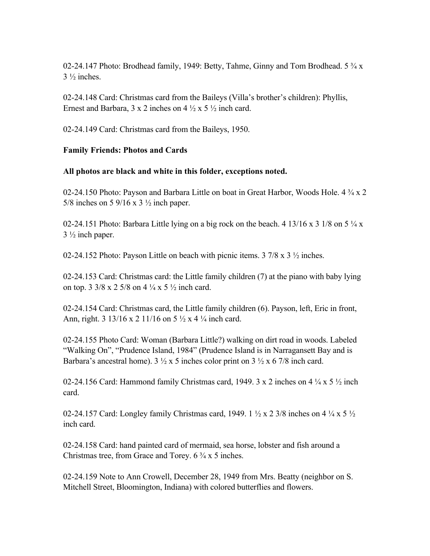02-24.147 Photo: Brodhead family, 1949: Betty, Tahme, Ginny and Tom Brodhead. 5 ¾ x  $3\frac{1}{2}$  inches.

02-24.148 Card: Christmas card from the Baileys (Villa's brother's children): Phyllis, Ernest and Barbara,  $3 \times 2$  inches on  $4 \frac{1}{2} \times 5 \frac{1}{2}$  inch card.

02-24.149 Card: Christmas card from the Baileys, 1950.

### **Family Friends: Photos and Cards**

### **All photos are black and white in this folder, exceptions noted.**

02-24.150 Photo: Payson and Barbara Little on boat in Great Harbor, Woods Hole. 4 ¾ x 2 5/8 inches on 5 9/16 x 3 ½ inch paper.

02-24.151 Photo: Barbara Little lying on a big rock on the beach. 4 13/16 x 3 1/8 on 5  $\frac{1}{4}$  x  $3\frac{1}{2}$  inch paper.

02-24.152 Photo: Payson Little on beach with picnic items. 3 7/8 x 3 ½ inches.

02-24.153 Card: Christmas card: the Little family children (7) at the piano with baby lying on top.  $3 \frac{3}{8} \times 2 \frac{5}{8}$  on  $4 \frac{1}{4} \times 5 \frac{1}{2}$  inch card.

02-24.154 Card: Christmas card, the Little family children (6). Payson, left, Eric in front, Ann, right. 3 13/16 x 2 11/16 on 5  $\frac{1}{2}$  x 4  $\frac{1}{4}$  inch card.

02-24.155 Photo Card: Woman (Barbara Little?) walking on dirt road in woods. Labeled "Walking On", "Prudence Island, 1984" (Prudence Island is in Narragansett Bay and is Barbara's ancestral home).  $3\frac{1}{2} \times 5$  inches color print on  $3\frac{1}{2} \times 6\frac{7}{8}$  inch card.

02-24.156 Card: Hammond family Christmas card, 1949. 3 x 2 inches on 4  $\frac{1}{4}$  x 5  $\frac{1}{2}$  inch card.

02-24.157 Card: Longley family Christmas card, 1949. 1  $\frac{1}{2} \times 2$  3/8 inches on 4  $\frac{1}{4} \times 5 \frac{1}{2}$ inch card.

02-24.158 Card: hand painted card of mermaid, sea horse, lobster and fish around a Christmas tree, from Grace and Torey.  $6\frac{3}{4}x5$  inches.

02-24.159 Note to Ann Crowell, December 28, 1949 from Mrs. Beatty (neighbor on S. Mitchell Street, Bloomington, Indiana) with colored butterflies and flowers.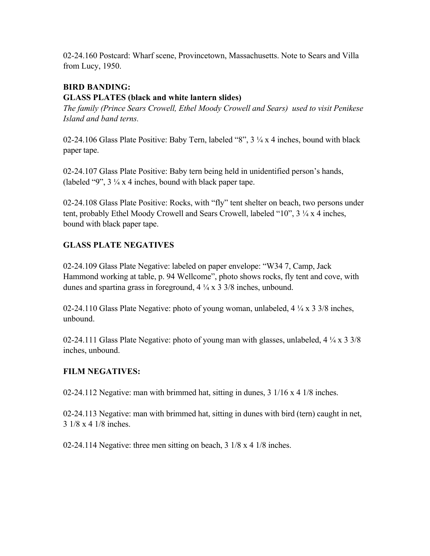02-24.160 Postcard: Wharf scene, Provincetown, Massachusetts. Note to Sears and Villa from Lucy, 1950.

# **BIRD BANDING:**

# **GLASS PLATES (black and white lantern slides)**

*The family (Prince Sears Crowell, Ethel Moody Crowell and Sears) used to visit Penikese Island and band terns.*

02-24.106 Glass Plate Positive: Baby Tern, labeled "8", 3 ¼ x 4 inches, bound with black paper tape.

02-24.107 Glass Plate Positive: Baby tern being held in unidentified person's hands, (labeled "9",  $3\frac{1}{4}x$  4 inches, bound with black paper tape.

02-24.108 Glass Plate Positive: Rocks, with "fly" tent shelter on beach, two persons under tent, probably Ethel Moody Crowell and Sears Crowell, labeled "10", 3 ¼ x 4 inches, bound with black paper tape.

# **GLASS PLATE NEGATIVES**

02-24.109 Glass Plate Negative: labeled on paper envelope: "W34 7, Camp, Jack Hammond working at table, p. 94 Wellcome", photo shows rocks, fly tent and cove, with dunes and spartina grass in foreground, 4 ¼ x 3 3/8 inches, unbound.

02-24.110 Glass Plate Negative: photo of young woman, unlabeled, 4 ¼ x 3 3/8 inches, unbound.

02-24.111 Glass Plate Negative: photo of young man with glasses, unlabeled,  $4\frac{1}{4} \times 3\frac{3}{8}$ inches, unbound.

# **FILM NEGATIVES:**

02-24.112 Negative: man with brimmed hat, sitting in dunes, 3 1/16 x 4 1/8 inches.

02-24.113 Negative: man with brimmed hat, sitting in dunes with bird (tern) caught in net, 3 1/8 x 4 1/8 inches.

02-24.114 Negative: three men sitting on beach, 3 1/8 x 4 1/8 inches.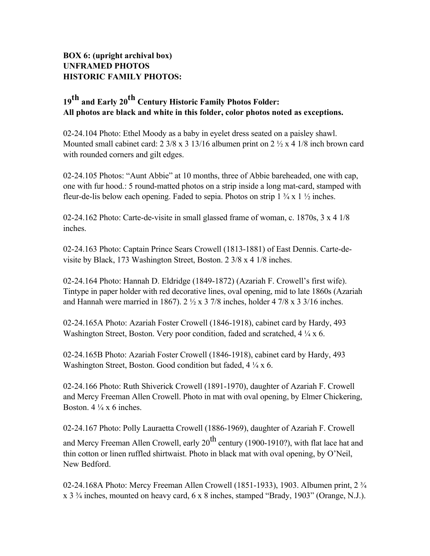# **BOX 6: (upright archival box) UNFRAMED PHOTOS HISTORIC FAMILY PHOTOS:**

# **19th and Early 20th Century Historic Family Photos Folder: All photos are black and white in this folder, color photos noted as exceptions.**

02-24.104 Photo: Ethel Moody as a baby in eyelet dress seated on a paisley shawl. Mounted small cabinet card:  $2 \frac{3}{8} \times 3 \frac{13}{16}$  albumen print on  $2 \frac{1}{2} \times 4 \frac{1}{8}$  inch brown card with rounded corners and gilt edges.

02-24.105 Photos: "Aunt Abbie" at 10 months, three of Abbie bareheaded, one with cap, one with fur hood.: 5 round-matted photos on a strip inside a long mat-card, stamped with fleur-de-lis below each opening. Faded to sepia. Photos on strip  $1 \frac{3}{4} \times 1 \frac{1}{2}$  inches.

02-24.162 Photo: Carte-de-visite in small glassed frame of woman, c. 1870s, 3 x 4 1/8 inches.

02-24.163 Photo: Captain Prince Sears Crowell (1813-1881) of East Dennis. Carte-devisite by Black, 173 Washington Street, Boston. 2 3/8 x 4 1/8 inches.

02-24.164 Photo: Hannah D. Eldridge (1849-1872) (Azariah F. Crowell's first wife). Tintype in paper holder with red decorative lines, oval opening, mid to late 1860s (Azariah and Hannah were married in 1867).  $2 \frac{1}{2} \times 37/8$  inches, holder 47/8 x 3 3/16 inches.

02-24.165A Photo: Azariah Foster Crowell (1846-1918), cabinet card by Hardy, 493 Washington Street, Boston. Very poor condition, faded and scratched,  $4\frac{1}{4}$  x 6.

02-24.165B Photo: Azariah Foster Crowell (1846-1918), cabinet card by Hardy, 493 Washington Street, Boston. Good condition but faded,  $4\frac{1}{4}$  x 6.

02-24.166 Photo: Ruth Shiverick Crowell (1891-1970), daughter of Azariah F. Crowell and Mercy Freeman Allen Crowell. Photo in mat with oval opening, by Elmer Chickering, Boston.  $4\frac{1}{4}$  x 6 inches.

02-24.167 Photo: Polly Lauraetta Crowell (1886-1969), daughter of Azariah F. Crowell and Mercy Freeman Allen Crowell, early  $20^{th}$  century (1900-1910?), with flat lace hat and thin cotton or linen ruffled shirtwaist. Photo in black mat with oval opening, by O'Neil, New Bedford.

02-24.168A Photo: Mercy Freeman Allen Crowell (1851-1933), 1903. Albumen print, 2 ¾ x 3 ¾ inches, mounted on heavy card, 6 x 8 inches, stamped "Brady, 1903" (Orange, N.J.).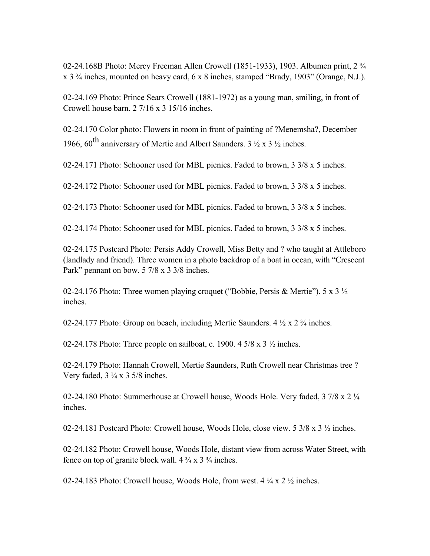02-24.168B Photo: Mercy Freeman Allen Crowell (1851-1933), 1903. Albumen print, 2 ¾ x 3 ¾ inches, mounted on heavy card, 6 x 8 inches, stamped "Brady, 1903" (Orange, N.J.).

02-24.169 Photo: Prince Sears Crowell (1881-1972) as a young man, smiling, in front of Crowell house barn. 2 7/16 x 3 15/16 inches.

02-24.170 Color photo: Flowers in room in front of painting of ?Menemsha?, December 1966, 60<sup>th</sup> anniversary of Mertie and Albert Saunders.  $3\frac{1}{2} \times 3\frac{1}{2}$  inches.

02-24.171 Photo: Schooner used for MBL picnics. Faded to brown, 3 3/8 x 5 inches.

02-24.172 Photo: Schooner used for MBL picnics. Faded to brown, 3 3/8 x 5 inches.

02-24.173 Photo: Schooner used for MBL picnics. Faded to brown, 3 3/8 x 5 inches.

02-24.174 Photo: Schooner used for MBL picnics. Faded to brown, 3 3/8 x 5 inches.

02-24.175 Postcard Photo: Persis Addy Crowell, Miss Betty and ? who taught at Attleboro (landlady and friend). Three women in a photo backdrop of a boat in ocean, with "Crescent Park" pennant on bow. 5 7/8 x 3 3/8 inches.

02-24.176 Photo: Three women playing croquet ("Bobbie, Persis & Mertie"). 5 x 3  $\frac{1}{2}$ inches.

02-24.177 Photo: Group on beach, including Mertie Saunders.  $4\frac{1}{2} \times 2\frac{3}{4}$  inches.

02-24.178 Photo: Three people on sailboat, c. 1900. 4  $5/8 \times 3 \frac{1}{2}$  inches.

02-24.179 Photo: Hannah Crowell, Mertie Saunders, Ruth Crowell near Christmas tree ? Very faded,  $3\frac{1}{4} \times 3\frac{5}{8}$  inches.

02-24.180 Photo: Summerhouse at Crowell house, Woods Hole. Very faded, 3 7/8 x 2 1/4 inches.

02-24.181 Postcard Photo: Crowell house, Woods Hole, close view. 5 3/8 x 3 ½ inches.

02-24.182 Photo: Crowell house, Woods Hole, distant view from across Water Street, with fence on top of granite block wall.  $4\frac{3}{4} \times 3\frac{3}{4}$  inches.

02-24.183 Photo: Crowell house, Woods Hole, from west.  $4\frac{1}{4}$  x  $2\frac{1}{2}$  inches.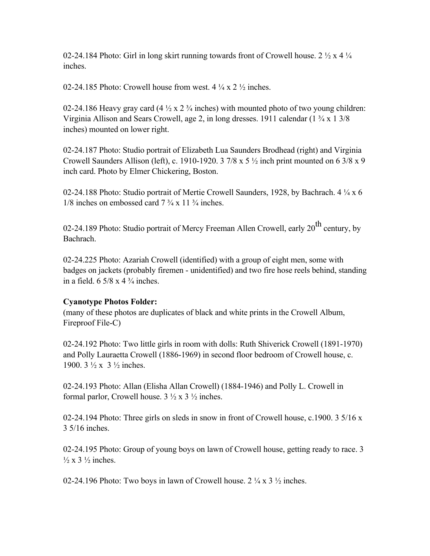02-24.184 Photo: Girl in long skirt running towards front of Crowell house. 2  $\frac{1}{2}$  x 4  $\frac{1}{4}$ inches.

02-24.185 Photo: Crowell house from west.  $4\frac{1}{4}$  x  $2\frac{1}{2}$  inches.

02-24.186 Heavy gray card  $(4\frac{1}{2} \times 2\frac{3}{4} \text{ inches})$  with mounted photo of two young children: Virginia Allison and Sears Crowell, age 2, in long dresses. 1911 calendar (1 ¾ x 1 3/8 inches) mounted on lower right.

02-24.187 Photo: Studio portrait of Elizabeth Lua Saunders Brodhead (right) and Virginia Crowell Saunders Allison (left), c. 1910-1920. 3 7/8 x 5  $\frac{1}{2}$  inch print mounted on 6 3/8 x 9 inch card. Photo by Elmer Chickering, Boston.

02-24.188 Photo: Studio portrait of Mertie Crowell Saunders, 1928, by Bachrach. 4 ¼ x 6  $1/8$  inches on embossed card  $7\frac{3}{4} \times 11\frac{3}{4}$  inches.

02-24.189 Photo: Studio portrait of Mercy Freeman Allen Crowell, early  $20^{th}$  century, by Bachrach.

02-24.225 Photo: Azariah Crowell (identified) with a group of eight men, some with badges on jackets (probably firemen - unidentified) and two fire hose reels behind, standing in a field.  $6\frac{5}{8} \times 4\frac{3}{4}$  inches.

### **Cyanotype Photos Folder:**

(many of these photos are duplicates of black and white prints in the Crowell Album, Fireproof File-C)

02-24.192 Photo: Two little girls in room with dolls: Ruth Shiverick Crowell (1891-1970) and Polly Lauraetta Crowell (1886-1969) in second floor bedroom of Crowell house, c. 1900. 3 ½ x 3 ½ inches.

02-24.193 Photo: Allan (Elisha Allan Crowell) (1884-1946) and Polly L. Crowell in formal parlor, Crowell house.  $3 \frac{1}{2} \times 3 \frac{1}{2}$  inches.

02-24.194 Photo: Three girls on sleds in snow in front of Crowell house, c.1900. 3 5/16 x 3 5/16 inches.

02-24.195 Photo: Group of young boys on lawn of Crowell house, getting ready to race. 3  $\frac{1}{2}$  x 3  $\frac{1}{2}$  inches.

02-24.196 Photo: Two boys in lawn of Crowell house.  $2 \frac{1}{4}$  x  $3 \frac{1}{2}$  inches.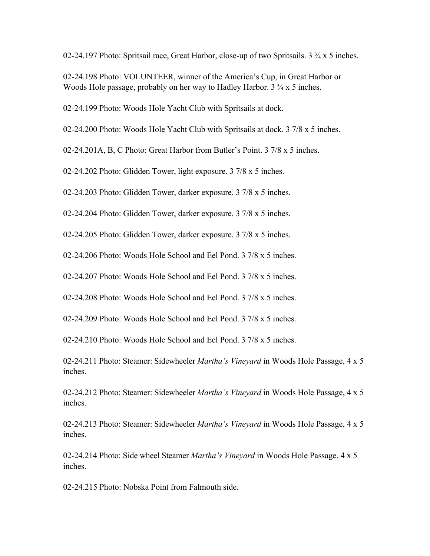02-24.197 Photo: Spritsail race, Great Harbor, close-up of two Spritsails. 3 ¾ x 5 inches.

02-24.198 Photo: VOLUNTEER, winner of the America's Cup, in Great Harbor or Woods Hole passage, probably on her way to Hadley Harbor. 3  $\frac{3}{4}$  x 5 inches.

02-24.199 Photo: Woods Hole Yacht Club with Spritsails at dock.

02-24.200 Photo: Woods Hole Yacht Club with Spritsails at dock. 3 7/8 x 5 inches.

02-24.201A, B, C Photo: Great Harbor from Butler's Point. 3 7/8 x 5 inches.

02-24.202 Photo: Glidden Tower, light exposure. 3 7/8 x 5 inches.

02-24.203 Photo: Glidden Tower, darker exposure. 3 7/8 x 5 inches.

02-24.204 Photo: Glidden Tower, darker exposure. 3 7/8 x 5 inches.

02-24.205 Photo: Glidden Tower, darker exposure. 3 7/8 x 5 inches.

02-24.206 Photo: Woods Hole School and Eel Pond. 3 7/8 x 5 inches.

02-24.207 Photo: Woods Hole School and Eel Pond. 3 7/8 x 5 inches.

02-24.208 Photo: Woods Hole School and Eel Pond. 3 7/8 x 5 inches.

02-24.209 Photo: Woods Hole School and Eel Pond. 3 7/8 x 5 inches.

02-24.210 Photo: Woods Hole School and Eel Pond. 3 7/8 x 5 inches.

02-24.211 Photo: Steamer: Sidewheeler *Martha's Vineyard* in Woods Hole Passage, 4 x 5 inches.

02-24.212 Photo: Steamer: Sidewheeler *Martha's Vineyard* in Woods Hole Passage, 4 x 5 inches.

02-24.213 Photo: Steamer: Sidewheeler *Martha's Vineyard* in Woods Hole Passage, 4 x 5 inches.

02-24.214 Photo: Side wheel Steamer *Martha's Vineyard* in Woods Hole Passage, 4 x 5 inches.

02-24.215 Photo: Nobska Point from Falmouth side.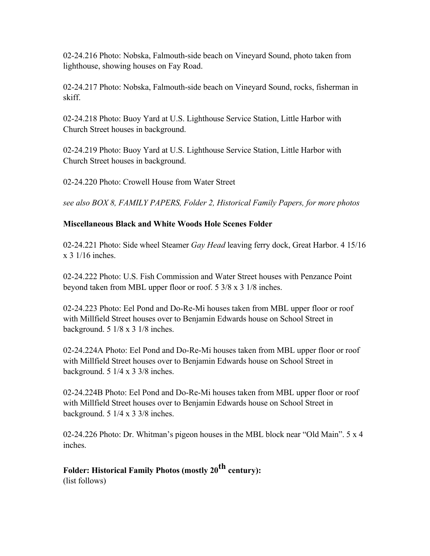02-24.216 Photo: Nobska, Falmouth-side beach on Vineyard Sound, photo taken from lighthouse, showing houses on Fay Road.

02-24.217 Photo: Nobska, Falmouth-side beach on Vineyard Sound, rocks, fisherman in skiff.

02-24.218 Photo: Buoy Yard at U.S. Lighthouse Service Station, Little Harbor with Church Street houses in background.

02-24.219 Photo: Buoy Yard at U.S. Lighthouse Service Station, Little Harbor with Church Street houses in background.

02-24.220 Photo: Crowell House from Water Street

*see also BOX 8, FAMILY PAPERS, Folder 2, Historical Family Papers, for more photos*

# **Miscellaneous Black and White Woods Hole Scenes Folder**

02-24.221 Photo: Side wheel Steamer *Gay Head* leaving ferry dock, Great Harbor. 4 15/16 x 3 1/16 inches.

02-24.222 Photo: U.S. Fish Commission and Water Street houses with Penzance Point beyond taken from MBL upper floor or roof. 5 3/8 x 3 1/8 inches.

02-24.223 Photo: Eel Pond and Do-Re-Mi houses taken from MBL upper floor or roof with Millfield Street houses over to Benjamin Edwards house on School Street in background. 5 1/8 x 3 1/8 inches.

02-24.224A Photo: Eel Pond and Do-Re-Mi houses taken from MBL upper floor or roof with Millfield Street houses over to Benjamin Edwards house on School Street in background. 5 1/4 x 3 3/8 inches.

02-24.224B Photo: Eel Pond and Do-Re-Mi houses taken from MBL upper floor or roof with Millfield Street houses over to Benjamin Edwards house on School Street in background.  $5 \frac{1}{4} \times 3 \frac{3}{8}$  inches.

02-24.226 Photo: Dr. Whitman's pigeon houses in the MBL block near "Old Main". 5 x 4 inches.

# Folder: Historical Family Photos (mostly 20<sup>th</sup> century): (list follows)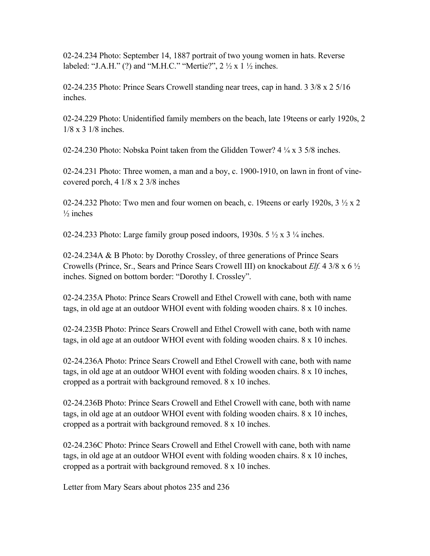02-24.234 Photo: September 14, 1887 portrait of two young women in hats. Reverse labeled: "J.A.H." (?) and "M.H.C." "Mertie?",  $2 \frac{1}{2} \times 1 \frac{1}{2}$  inches.

02-24.235 Photo: Prince Sears Crowell standing near trees, cap in hand. 3 3/8 x 2 5/16 inches.

02-24.229 Photo: Unidentified family members on the beach, late 19teens or early 1920s, 2 1/8 x 3 1/8 inches.

02-24.230 Photo: Nobska Point taken from the Glidden Tower?  $4\frac{1}{4} \times 3\frac{5}{8}$  inches.

02-24.231 Photo: Three women, a man and a boy, c. 1900-1910, on lawn in front of vinecovered porch, 4 1/8 x 2 3/8 inches

02-24.232 Photo: Two men and four women on beach, c. 19teens or early 1920s,  $3\frac{1}{2} \times 2$  $\frac{1}{2}$  inches

02-24.233 Photo: Large family group posed indoors, 1930s.  $5\frac{1}{2} \times 3\frac{1}{4}$  inches.

02-24.234A & B Photo: by Dorothy Crossley, of three generations of Prince Sears Crowells (Prince, Sr., Sears and Prince Sears Crowell III) on knockabout *Elf.* 4 3/8 x 6 ½ inches. Signed on bottom border: "Dorothy I. Crossley".

02-24.235A Photo: Prince Sears Crowell and Ethel Crowell with cane, both with name tags, in old age at an outdoor WHOI event with folding wooden chairs. 8 x 10 inches.

02-24.235B Photo: Prince Sears Crowell and Ethel Crowell with cane, both with name tags, in old age at an outdoor WHOI event with folding wooden chairs. 8 x 10 inches.

02-24.236A Photo: Prince Sears Crowell and Ethel Crowell with cane, both with name tags, in old age at an outdoor WHOI event with folding wooden chairs. 8 x 10 inches, cropped as a portrait with background removed. 8 x 10 inches.

02-24.236B Photo: Prince Sears Crowell and Ethel Crowell with cane, both with name tags, in old age at an outdoor WHOI event with folding wooden chairs. 8 x 10 inches, cropped as a portrait with background removed. 8 x 10 inches.

02-24.236C Photo: Prince Sears Crowell and Ethel Crowell with cane, both with name tags, in old age at an outdoor WHOI event with folding wooden chairs. 8 x 10 inches, cropped as a portrait with background removed. 8 x 10 inches.

Letter from Mary Sears about photos 235 and 236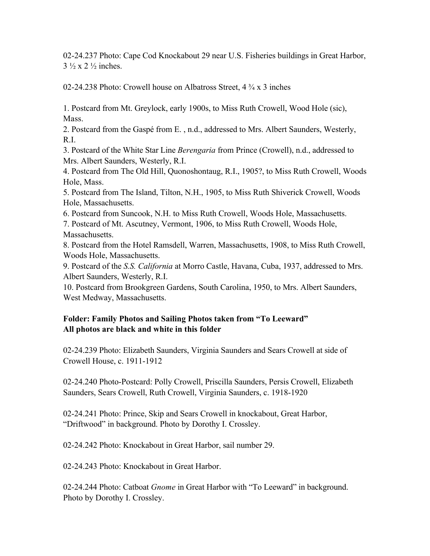02-24.237 Photo: Cape Cod Knockabout 29 near U.S. Fisheries buildings in Great Harbor,  $3\frac{1}{2}$  x 2  $\frac{1}{2}$  inches.

02-24.238 Photo: Crowell house on Albatross Street, 4 ¾ x 3 inches

1. Postcard from Mt. Greylock, early 1900s, to Miss Ruth Crowell, Wood Hole (sic), Mass.

2. Postcard from the Gaspé from E. , n.d., addressed to Mrs. Albert Saunders, Westerly, R.I.

3. Postcard of the White Star Line *Berengaria* from Prince (Crowell), n.d., addressed to Mrs. Albert Saunders, Westerly, R.I.

4. Postcard from The Old Hill, Quonoshontaug, R.I., 1905?, to Miss Ruth Crowell, Woods Hole, Mass.

5. Postcard from The Island, Tilton, N.H., 1905, to Miss Ruth Shiverick Crowell, Woods Hole, Massachusetts.

6. Postcard from Suncook, N.H. to Miss Ruth Crowell, Woods Hole, Massachusetts.

7. Postcard of Mt. Ascutney, Vermont, 1906, to Miss Ruth Crowell, Woods Hole, Massachusetts.

8. Postcard from the Hotel Ramsdell, Warren, Massachusetts, 1908, to Miss Ruth Crowell, Woods Hole, Massachusetts.

9. Postcard of the *S.S. California* at Morro Castle, Havana, Cuba, 1937, addressed to Mrs. Albert Saunders, Westerly, R.I.

10. Postcard from Brookgreen Gardens, South Carolina, 1950, to Mrs. Albert Saunders, West Medway, Massachusetts.

# **Folder: Family Photos and Sailing Photos taken from "To Leeward" All photos are black and white in this folder**

02-24.239 Photo: Elizabeth Saunders, Virginia Saunders and Sears Crowell at side of Crowell House, c. 1911-1912

02-24.240 Photo-Postcard: Polly Crowell, Priscilla Saunders, Persis Crowell, Elizabeth Saunders, Sears Crowell, Ruth Crowell, Virginia Saunders, c. 1918-1920

02-24.241 Photo: Prince, Skip and Sears Crowell in knockabout, Great Harbor, "Driftwood" in background. Photo by Dorothy I. Crossley.

02-24.242 Photo: Knockabout in Great Harbor, sail number 29.

02-24.243 Photo: Knockabout in Great Harbor.

02-24.244 Photo: Catboat *Gnome* in Great Harbor with "To Leeward" in background. Photo by Dorothy I. Crossley.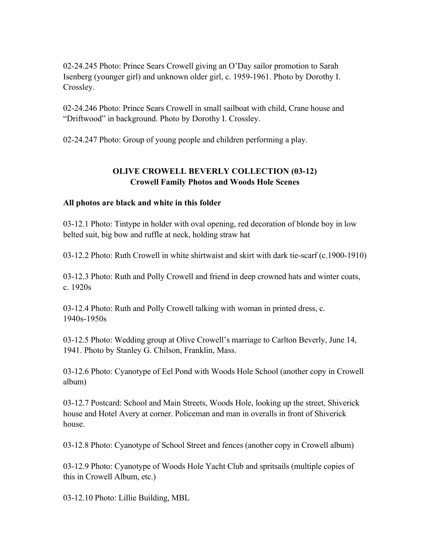02-24.245 Photo: Prince Sears Crowell giving an O'Day sailor promotion to Sarah Isenberg (younger girl) and unknown older girl, c. 1959-1961. Photo by Dorothy I. Crossley.

02-24.246 Photo: Prince Sears Crowell in small sailboat with child, Crane house and "Driftwood" in background. Photo by Dorothy I. Crossley.

02-24.247 Photo: Group of young people and children performing a play.

# **OLIVE CROWELL BEVERLY COLLECTION (03-12) Crowell Family Photos and Woods Hole Scenes**

### **All photos are black and white in this folder**

03-12.1 Photo: Tintype in holder with oval opening, red decoration of blonde boy in low belted suit, big bow and ruffle at neck, holding straw hat

03-12.2 Photo: Ruth Crowell in white shirtwaist and skirt with dark tie-scarf (c.1900-1910)

03-12.3 Photo: Ruth and Polly Crowell and friend in deep crowned hats and winter coats, c. 1920s

03-12.4 Photo: Ruth and Polly Crowell talking with woman in printed dress, c. 1940s-1950s

03-12.5 Photo: Wedding group at Olive Crowell's marriage to Carlton Beverly, June 14, 1941. Photo by Stanley G. Chilson, Franklin, Mass.

03-12.6 Photo: Cyanotype of Eel Pond with Woods Hole School (another copy in Crowell album)

03-12.7 Postcard: School and Main Streets, Woods Hole, looking up the street, Shiverick house and Hotel Avery at corner. Policeman and man in overalls in front of Shiverick house.

03-12.8 Photo: Cyanotype of School Street and fences (another copy in Crowell album)

03-12.9 Photo: Cyanotype of Woods Hole Yacht Club and spritsails (multiple copies of this in Crowell Album, etc.)

03-12.10 Photo: Lillie Building, MBL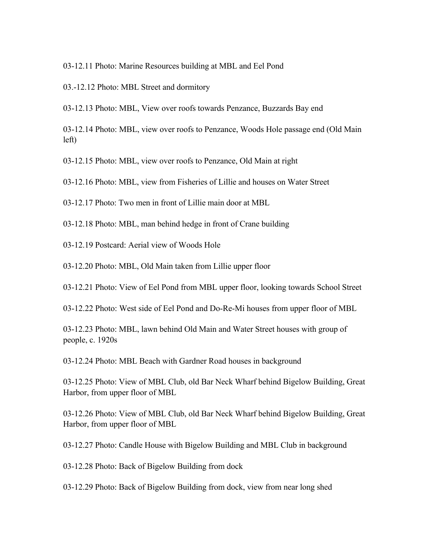- 03-12.11 Photo: Marine Resources building at MBL and Eel Pond
- 03.-12.12 Photo: MBL Street and dormitory
- 03-12.13 Photo: MBL, View over roofs towards Penzance, Buzzards Bay end
- 03-12.14 Photo: MBL, view over roofs to Penzance, Woods Hole passage end (Old Main left)
- 03-12.15 Photo: MBL, view over roofs to Penzance, Old Main at right
- 03-12.16 Photo: MBL, view from Fisheries of Lillie and houses on Water Street
- 03-12.17 Photo: Two men in front of Lillie main door at MBL
- 03-12.18 Photo: MBL, man behind hedge in front of Crane building
- 03-12.19 Postcard: Aerial view of Woods Hole
- 03-12.20 Photo: MBL, Old Main taken from Lillie upper floor
- 03-12.21 Photo: View of Eel Pond from MBL upper floor, looking towards School Street
- 03-12.22 Photo: West side of Eel Pond and Do-Re-Mi houses from upper floor of MBL
- 03-12.23 Photo: MBL, lawn behind Old Main and Water Street houses with group of people, c. 1920s
- 03-12.24 Photo: MBL Beach with Gardner Road houses in background
- 03-12.25 Photo: View of MBL Club, old Bar Neck Wharf behind Bigelow Building, Great Harbor, from upper floor of MBL
- 03-12.26 Photo: View of MBL Club, old Bar Neck Wharf behind Bigelow Building, Great Harbor, from upper floor of MBL
- 03-12.27 Photo: Candle House with Bigelow Building and MBL Club in background
- 03-12.28 Photo: Back of Bigelow Building from dock
- 03-12.29 Photo: Back of Bigelow Building from dock, view from near long shed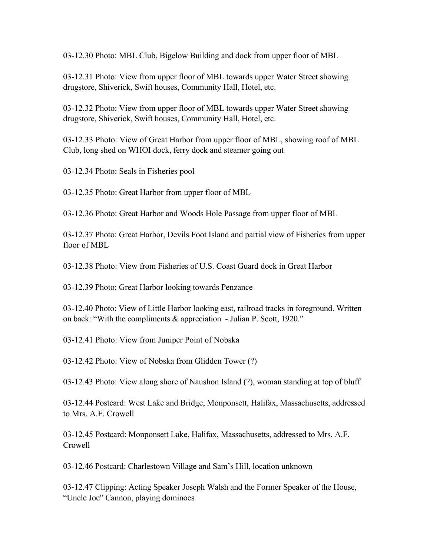03-12.30 Photo: MBL Club, Bigelow Building and dock from upper floor of MBL

03-12.31 Photo: View from upper floor of MBL towards upper Water Street showing drugstore, Shiverick, Swift houses, Community Hall, Hotel, etc.

03-12.32 Photo: View from upper floor of MBL towards upper Water Street showing drugstore, Shiverick, Swift houses, Community Hall, Hotel, etc.

03-12.33 Photo: View of Great Harbor from upper floor of MBL, showing roof of MBL Club, long shed on WHOI dock, ferry dock and steamer going out

03-12.34 Photo: Seals in Fisheries pool

03-12.35 Photo: Great Harbor from upper floor of MBL

03-12.36 Photo: Great Harbor and Woods Hole Passage from upper floor of MBL

03-12.37 Photo: Great Harbor, Devils Foot Island and partial view of Fisheries from upper floor of MBL

03-12.38 Photo: View from Fisheries of U.S. Coast Guard dock in Great Harbor

03-12.39 Photo: Great Harbor looking towards Penzance

03-12.40 Photo: View of Little Harbor looking east, railroad tracks in foreground. Written on back: "With the compliments & appreciation - Julian P. Scott, 1920."

03-12.41 Photo: View from Juniper Point of Nobska

03-12.42 Photo: View of Nobska from Glidden Tower (?)

03-12.43 Photo: View along shore of Naushon Island (?), woman standing at top of bluff

03-12.44 Postcard: West Lake and Bridge, Monponsett, Halifax, Massachusetts, addressed to Mrs. A.F. Crowell

03-12.45 Postcard: Monponsett Lake, Halifax, Massachusetts, addressed to Mrs. A.F. Crowell

03-12.46 Postcard: Charlestown Village and Sam's Hill, location unknown

03-12.47 Clipping: Acting Speaker Joseph Walsh and the Former Speaker of the House, "Uncle Joe" Cannon, playing dominoes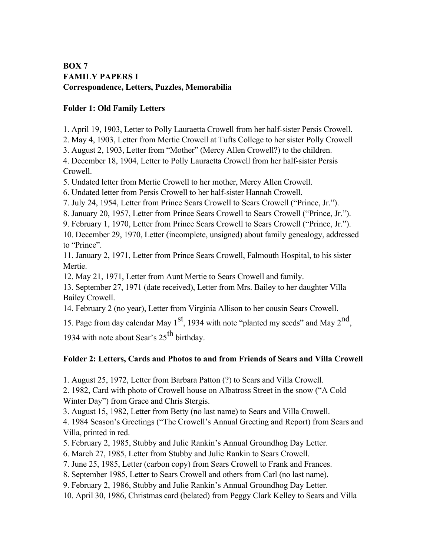# **BOX 7 FAMILY PAPERS I Correspondence, Letters, Puzzles, Memorabilia**

### **Folder 1: Old Family Letters**

1. April 19, 1903, Letter to Polly Lauraetta Crowell from her half-sister Persis Crowell.

2. May 4, 1903, Letter from Mertie Crowell at Tufts College to her sister Polly Crowell

3. August 2, 1903, Letter from "Mother" (Mercy Allen Crowell?) to the children.

4. December 18, 1904, Letter to Polly Lauraetta Crowell from her half-sister Persis Crowell.

5. Undated letter from Mertie Crowell to her mother, Mercy Allen Crowell.

6. Undated letter from Persis Crowell to her half-sister Hannah Crowell.

7. July 24, 1954, Letter from Prince Sears Crowell to Sears Crowell ("Prince, Jr.").

8. January 20, 1957, Letter from Prince Sears Crowell to Sears Crowell ("Prince, Jr.").

9. February 1, 1970, Letter from Prince Sears Crowell to Sears Crowell ("Prince, Jr.").

10. December 29, 1970, Letter (incomplete, unsigned) about family genealogy, addressed to "Prince".

11. January 2, 1971, Letter from Prince Sears Crowell, Falmouth Hospital, to his sister Mertie.

12. May 21, 1971, Letter from Aunt Mertie to Sears Crowell and family.

13. September 27, 1971 (date received), Letter from Mrs. Bailey to her daughter Villa Bailey Crowell.

14. February 2 (no year), Letter from Virginia Allison to her cousin Sears Crowell.

15. Page from day calendar May  $1<sup>st</sup>$ , 1934 with note "planted my seeds" and May  $2<sup>nd</sup>$ ,

1934 with note about Sear's  $25<sup>th</sup>$  birthday.

# **Folder 2: Letters, Cards and Photos to and from Friends of Sears and Villa Crowell**

1. August 25, 1972, Letter from Barbara Patton (?) to Sears and Villa Crowell.

2. 1982, Card with photo of Crowell house on Albatross Street in the snow ("A Cold Winter Day") from Grace and Chris Stergis.

3. August 15, 1982, Letter from Betty (no last name) to Sears and Villa Crowell.

4. 1984 Season's Greetings ("The Crowell's Annual Greeting and Report) from Sears and Villa, printed in red.

5. February 2, 1985, Stubby and Julie Rankin's Annual Groundhog Day Letter.

6. March 27, 1985, Letter from Stubby and Julie Rankin to Sears Crowell.

7. June 25, 1985, Letter (carbon copy) from Sears Crowell to Frank and Frances.

8. September 1985, Letter to Sears Crowell and others from Carl (no last name).

9. February 2, 1986, Stubby and Julie Rankin's Annual Groundhog Day Letter.

10. April 30, 1986, Christmas card (belated) from Peggy Clark Kelley to Sears and Villa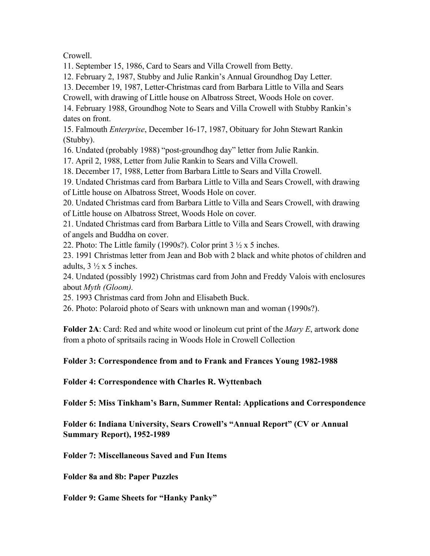Crowell.

11. September 15, 1986, Card to Sears and Villa Crowell from Betty.

12. February 2, 1987, Stubby and Julie Rankin's Annual Groundhog Day Letter.

13. December 19, 1987, Letter-Christmas card from Barbara Little to Villa and Sears

Crowell, with drawing of Little house on Albatross Street, Woods Hole on cover.

14. February 1988, Groundhog Note to Sears and Villa Crowell with Stubby Rankin's dates on front.

15. Falmouth *Enterprise*, December 16-17, 1987, Obituary for John Stewart Rankin (Stubby).

16. Undated (probably 1988) "post-groundhog day" letter from Julie Rankin.

17. April 2, 1988, Letter from Julie Rankin to Sears and Villa Crowell.

18. December 17, 1988, Letter from Barbara Little to Sears and Villa Crowell.

19. Undated Christmas card from Barbara Little to Villa and Sears Crowell, with drawing of Little house on Albatross Street, Woods Hole on cover.

20. Undated Christmas card from Barbara Little to Villa and Sears Crowell, with drawing of Little house on Albatross Street, Woods Hole on cover.

21. Undated Christmas card from Barbara Little to Villa and Sears Crowell, with drawing of angels and Buddha on cover.

22. Photo: The Little family (1990s?). Color print  $3\frac{1}{2}$  x 5 inches.

23. 1991 Christmas letter from Jean and Bob with 2 black and white photos of children and adults,  $3 \frac{1}{2} \times 5$  inches.

24. Undated (possibly 1992) Christmas card from John and Freddy Valois with enclosures about *Myth (Gloom).*

25. 1993 Christmas card from John and Elisabeth Buck.

26. Photo: Polaroid photo of Sears with unknown man and woman (1990s?).

**Folder 2A**: Card: Red and white wood or linoleum cut print of the *Mary E*, artwork done from a photo of spritsails racing in Woods Hole in Crowell Collection

**Folder 3: Correspondence from and to Frank and Frances Young 1982-1988**

**Folder 4: Correspondence with Charles R. Wyttenbach**

**Folder 5: Miss Tinkham's Barn, Summer Rental: Applications and Correspondence**

**Folder 6: Indiana University, Sears Crowell's "Annual Report" (CV or Annual Summary Report), 1952-1989**

**Folder 7: Miscellaneous Saved and Fun Items**

**Folder 8a and 8b: Paper Puzzles**

**Folder 9: Game Sheets for "Hanky Panky"**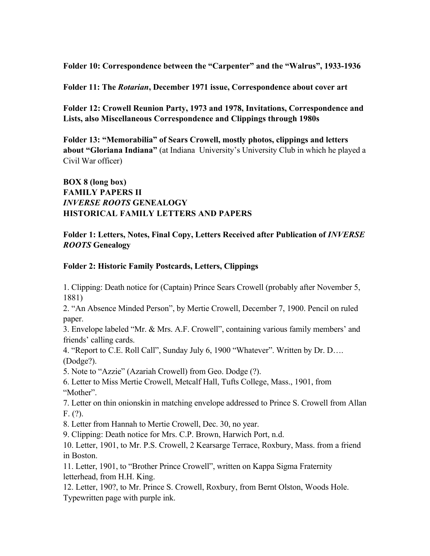**Folder 10: Correspondence between the "Carpenter" and the "Walrus", 1933-1936**

**Folder 11: The** *Rotarian***, December 1971 issue, Correspondence about cover art**

**Folder 12: Crowell Reunion Party, 1973 and 1978, Invitations, Correspondence and Lists, also Miscellaneous Correspondence and Clippings through 1980s**

**Folder 13: "Memorabilia" of Sears Crowell, mostly photos, clippings and letters about "Gloriana Indiana"** (at Indiana University's University Club in which he played a Civil War officer)

# **BOX 8 (long box) FAMILY PAPERS II** *INVERSE ROOTS* **GENEALOGY HISTORICAL FAMILY LETTERS AND PAPERS**

### **Folder 1: Letters, Notes, Final Copy, Letters Received after Publication of** *INVERSE ROOTS* **Genealogy**

# **Folder 2: Historic Family Postcards, Letters, Clippings**

1. Clipping: Death notice for (Captain) Prince Sears Crowell (probably after November 5, 1881)

2. "An Absence Minded Person", by Mertie Crowell, December 7, 1900. Pencil on ruled paper.

3. Envelope labeled "Mr. & Mrs. A.F. Crowell", containing various family members' and friends' calling cards.

4. "Report to C.E. Roll Call", Sunday July 6, 1900 "Whatever". Written by Dr. D…. (Dodge?).

5. Note to "Azzie" (Azariah Crowell) from Geo. Dodge (?).

6. Letter to Miss Mertie Crowell, Metcalf Hall, Tufts College, Mass., 1901, from "Mother".

7. Letter on thin onionskin in matching envelope addressed to Prince S. Crowell from Allan F. (?).

8. Letter from Hannah to Mertie Crowell, Dec. 30, no year.

9. Clipping: Death notice for Mrs. C.P. Brown, Harwich Port, n.d.

10. Letter, 1901, to Mr. P.S. Crowell, 2 Kearsarge Terrace, Roxbury, Mass. from a friend in Boston.

11. Letter, 1901, to "Brother Prince Crowell", written on Kappa Sigma Fraternity letterhead, from H.H. King.

12. Letter, 190?, to Mr. Prince S. Crowell, Roxbury, from Bernt Olston, Woods Hole. Typewritten page with purple ink.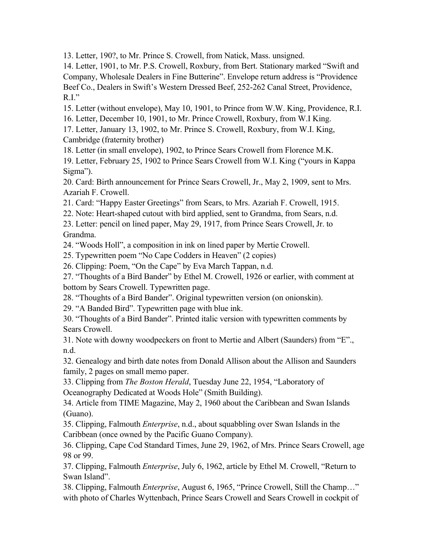13. Letter, 190?, to Mr. Prince S. Crowell, from Natick, Mass. unsigned.

14. Letter, 1901, to Mr. P.S. Crowell, Roxbury, from Bert. Stationary marked "Swift and Company, Wholesale Dealers in Fine Butterine". Envelope return address is "Providence Beef Co., Dealers in Swift's Western Dressed Beef, 252-262 Canal Street, Providence,  $R.I.''$ 

15. Letter (without envelope), May 10, 1901, to Prince from W.W. King, Providence, R.I.

16. Letter, December 10, 1901, to Mr. Prince Crowell, Roxbury, from W.I King.

17. Letter, January 13, 1902, to Mr. Prince S. Crowell, Roxbury, from W.I. King, Cambridge (fraternity brother)

18. Letter (in small envelope), 1902, to Prince Sears Crowell from Florence M.K.

19. Letter, February 25, 1902 to Prince Sears Crowell from W.I. King ("yours in Kappa Sigma").

20. Card: Birth announcement for Prince Sears Crowell, Jr., May 2, 1909, sent to Mrs. Azariah F. Crowell.

21. Card: "Happy Easter Greetings" from Sears, to Mrs. Azariah F. Crowell, 1915.

22. Note: Heart-shaped cutout with bird applied, sent to Grandma, from Sears, n.d.

23. Letter: pencil on lined paper, May 29, 1917, from Prince Sears Crowell, Jr. to Grandma.

24. "Woods Holl", a composition in ink on lined paper by Mertie Crowell.

25. Typewritten poem "No Cape Codders in Heaven" (2 copies)

26. Clipping: Poem, "On the Cape" by Eva March Tappan, n.d.

27. "Thoughts of a Bird Bander" by Ethel M. Crowell, 1926 or earlier, with comment at bottom by Sears Crowell. Typewritten page.

28. "Thoughts of a Bird Bander". Original typewritten version (on onionskin).

29. "A Banded Bird". Typewritten page with blue ink.

30. "Thoughts of a Bird Bander". Printed italic version with typewritten comments by Sears Crowell.

31. Note with downy woodpeckers on front to Mertie and Albert (Saunders) from "E"., n.d.

32. Genealogy and birth date notes from Donald Allison about the Allison and Saunders family, 2 pages on small memo paper.

33. Clipping from *The Boston Herald*, Tuesday June 22, 1954, "Laboratory of Oceanography Dedicated at Woods Hole" (Smith Building).

34. Article from TIME Magazine, May 2, 1960 about the Caribbean and Swan Islands (Guano).

35. Clipping, Falmouth *Enterprise*, n.d., about squabbling over Swan Islands in the Caribbean (once owned by the Pacific Guano Company).

36. Clipping, Cape Cod Standard Times, June 29, 1962, of Mrs. Prince Sears Crowell, age 98 or 99.

37. Clipping, Falmouth *Enterprise*, July 6, 1962, article by Ethel M. Crowell, "Return to Swan Island".

38. Clipping, Falmouth *Enterprise*, August 6, 1965, "Prince Crowell, Still the Champ…" with photo of Charles Wyttenbach, Prince Sears Crowell and Sears Crowell in cockpit of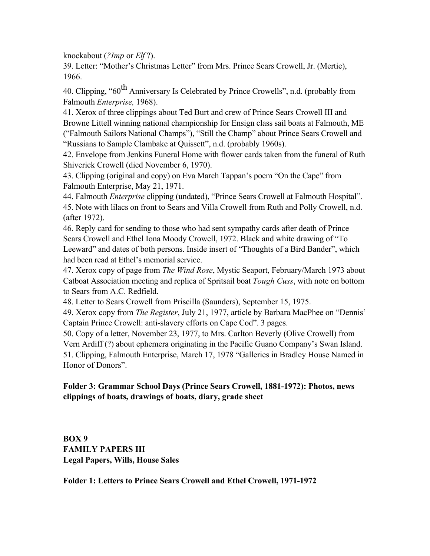knockabout (*?Imp* or *Elf* ?).

39. Letter: "Mother's Christmas Letter" from Mrs. Prince Sears Crowell, Jr. (Mertie), 1966.

40. Clipping, "60<sup>th</sup> Anniversary Is Celebrated by Prince Crowells", n.d. (probably from Falmouth *Enterprise,* 1968).

41. Xerox of three clippings about Ted Burt and crew of Prince Sears Crowell III and Browne Littell winning national championship for Ensign class sail boats at Falmouth, ME ("Falmouth Sailors National Champs"), "Still the Champ" about Prince Sears Crowell and "Russians to Sample Clambake at Quissett", n.d. (probably 1960s).

42. Envelope from Jenkins Funeral Home with flower cards taken from the funeral of Ruth Shiverick Crowell (died November 6, 1970).

43. Clipping (original and copy) on Eva March Tappan's poem "On the Cape" from Falmouth Enterprise, May 21, 1971.

44. Falmouth *Enterprise* clipping (undated), "Prince Sears Crowell at Falmouth Hospital". 45. Note with lilacs on front to Sears and Villa Crowell from Ruth and Polly Crowell, n.d. (after 1972).

46. Reply card for sending to those who had sent sympathy cards after death of Prince Sears Crowell and Ethel Iona Moody Crowell, 1972. Black and white drawing of "To Leeward" and dates of both persons. Inside insert of "Thoughts of a Bird Bander", which had been read at Ethel's memorial service.

47. Xerox copy of page from *The Wind Rose*, Mystic Seaport, February/March 1973 about Catboat Association meeting and replica of Spritsail boat *Tough Cuss*, with note on bottom to Sears from A.C. Redfield.

48. Letter to Sears Crowell from Priscilla (Saunders), September 15, 1975.

49. Xerox copy from *The Register*, July 21, 1977, article by Barbara MacPhee on "Dennis' Captain Prince Crowell: anti-slavery efforts on Cape Cod". 3 pages.

50. Copy of a letter, November 23, 1977, to Mrs. Carlton Beverly (Olive Crowell) from Vern Ardiff (?) about ephemera originating in the Pacific Guano Company's Swan Island. 51. Clipping, Falmouth Enterprise, March 17, 1978 "Galleries in Bradley House Named in Honor of Donors".

# **Folder 3: Grammar School Days (Prince Sears Crowell, 1881-1972): Photos, news clippings of boats, drawings of boats, diary, grade sheet**

**BOX 9 FAMILY PAPERS III Legal Papers, Wills, House Sales**

**Folder 1: Letters to Prince Sears Crowell and Ethel Crowell, 1971-1972**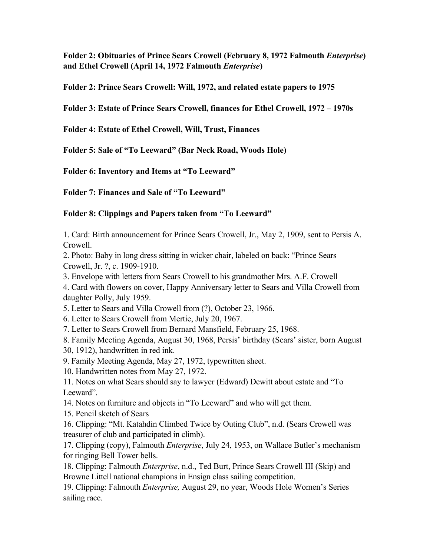**Folder 2: Obituaries of Prince Sears Crowell (February 8, 1972 Falmouth** *Enterprise***) and Ethel Crowell (April 14, 1972 Falmouth** *Enterprise***)**

**Folder 2: Prince Sears Crowell: Will, 1972, and related estate papers to 1975**

**Folder 3: Estate of Prince Sears Crowell, finances for Ethel Crowell, 1972 – 1970s**

**Folder 4: Estate of Ethel Crowell, Will, Trust, Finances**

**Folder 5: Sale of "To Leeward" (Bar Neck Road, Woods Hole)**

**Folder 6: Inventory and Items at "To Leeward"**

**Folder 7: Finances and Sale of "To Leeward"**

# **Folder 8: Clippings and Papers taken from "To Leeward"**

1. Card: Birth announcement for Prince Sears Crowell, Jr., May 2, 1909, sent to Persis A. Crowell.

2. Photo: Baby in long dress sitting in wicker chair, labeled on back: "Prince Sears Crowell, Jr. ?, c. 1909-1910.

3. Envelope with letters from Sears Crowell to his grandmother Mrs. A.F. Crowell

4. Card with flowers on cover, Happy Anniversary letter to Sears and Villa Crowell from daughter Polly, July 1959.

5. Letter to Sears and Villa Crowell from (?), October 23, 1966.

6. Letter to Sears Crowell from Mertie, July 20, 1967.

7. Letter to Sears Crowell from Bernard Mansfield, February 25, 1968.

8. Family Meeting Agenda, August 30, 1968, Persis' birthday (Sears' sister, born August 30, 1912), handwritten in red ink.

9. Family Meeting Agenda, May 27, 1972, typewritten sheet.

10. Handwritten notes from May 27, 1972.

11. Notes on what Sears should say to lawyer (Edward) Dewitt about estate and "To Leeward".

14. Notes on furniture and objects in "To Leeward" and who will get them.

15. Pencil sketch of Sears

16. Clipping: "Mt. Katahdin Climbed Twice by Outing Club", n.d. (Sears Crowell was treasurer of club and participated in climb).

17. Clipping (copy), Falmouth *Enterprise*, July 24, 1953, on Wallace Butler's mechanism for ringing Bell Tower bells.

18. Clipping: Falmouth *Enterprise*, n.d., Ted Burt, Prince Sears Crowell III (Skip) and Browne Littell national champions in Ensign class sailing competition.

19. Clipping: Falmouth *Enterprise,* August 29, no year, Woods Hole Women's Series sailing race.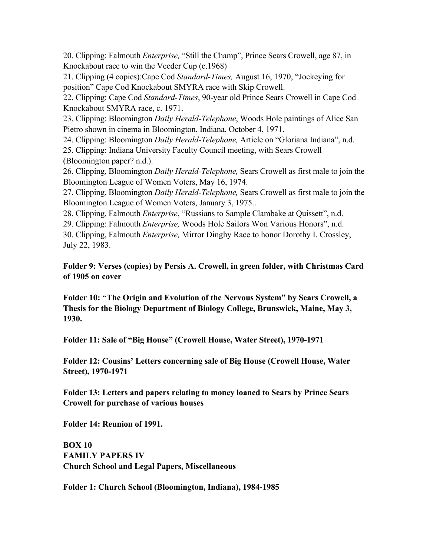20. Clipping: Falmouth *Enterprise,* "Still the Champ", Prince Sears Crowell, age 87, in Knockabout race to win the Veeder Cup (c.1968)

21. Clipping (4 copies):Cape Cod *Standard-Times,* August 16, 1970, "Jockeying for position" Cape Cod Knockabout SMYRA race with Skip Crowell.

22. Clipping: Cape Cod *Standard-Times*, 90-year old Prince Sears Crowell in Cape Cod Knockabout SMYRA race, c. 1971.

23. Clipping: Bloomington *Daily Herald-Telephone*, Woods Hole paintings of Alice San Pietro shown in cinema in Bloomington, Indiana, October 4, 1971.

24. Clipping: Bloomington *Daily Herald-Telephone,* Article on "Gloriana Indiana", n.d.

25. Clipping: Indiana University Faculty Council meeting, with Sears Crowell (Bloomington paper? n.d.).

26. Clipping, Bloomington *Daily Herald-Telephone,* Sears Crowell as first male to join the Bloomington League of Women Voters, May 16, 1974.

27. Clipping, Bloomington *Daily Herald-Telephone,* Sears Crowell as first male to join the Bloomington League of Women Voters, January 3, 1975..

28. Clipping, Falmouth *Enterprise*, "Russians to Sample Clambake at Quissett", n.d.

29. Clipping: Falmouth *Enterprise,* Woods Hole Sailors Won Various Honors", n.d.

30. Clipping, Falmouth *Enterprise,* Mirror Dinghy Race to honor Dorothy I. Crossley, July 22, 1983.

**Folder 9: Verses (copies) by Persis A. Crowell, in green folder, with Christmas Card of 1905 on cover**

**Folder 10: "The Origin and Evolution of the Nervous System" by Sears Crowell, a Thesis for the Biology Department of Biology College, Brunswick, Maine, May 3, 1930.**

**Folder 11: Sale of "Big House" (Crowell House, Water Street), 1970-1971**

**Folder 12: Cousins' Letters concerning sale of Big House (Crowell House, Water Street), 1970-1971**

**Folder 13: Letters and papers relating to money loaned to Sears by Prince Sears Crowell for purchase of various houses**

**Folder 14: Reunion of 1991.**

**BOX 10 FAMILY PAPERS IV Church School and Legal Papers, Miscellaneous**

**Folder 1: Church School (Bloomington, Indiana), 1984-1985**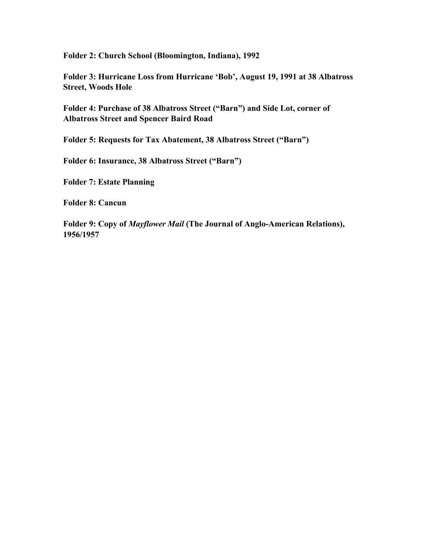**Folder 2: Church School (Bloomington, Indiana), 1992**

**Folder 3: Hurricane Loss from Hurricane 'Bob', August 19, 1991 at 38 Albatross Street, Woods Hole**

**Folder 4: Purchase of 38 Albatross Street ("Barn") and Side Lot, corner of Albatross Street and Spencer Baird Road**

**Folder 5: Requests for Tax Abatement, 38 Albatross Street ("Barn")**

**Folder 6: Insurance, 38 Albatross Street ("Barn")**

**Folder 7: Estate Planning**

**Folder 8: Cancun**

**Folder 9: Copy of** *Mayflower Mail* **(The Journal of Anglo-American Relations), 1956/1957**